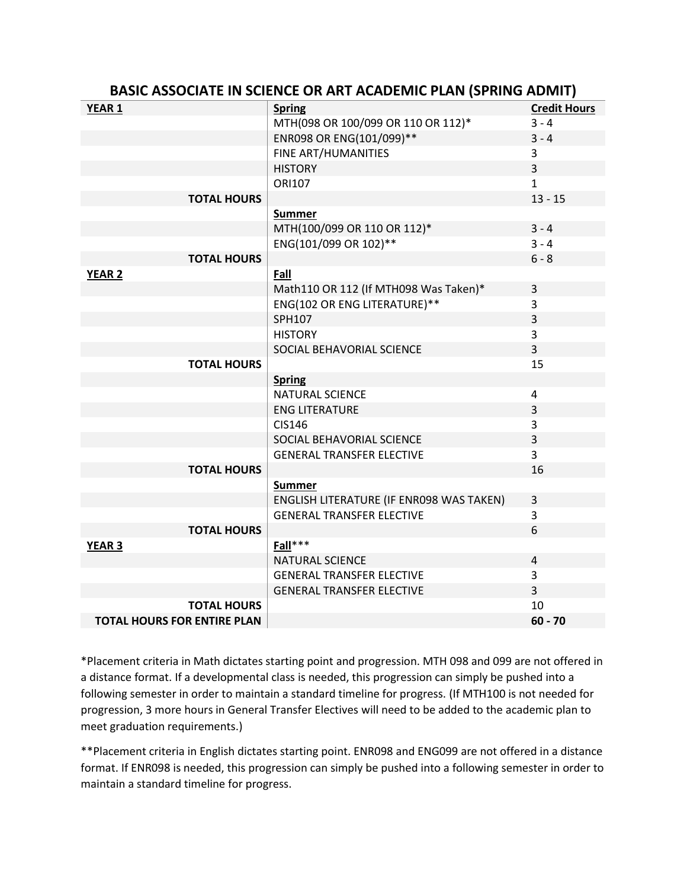| <b>BASIC ASSOCIATE IN SCIENCE OR ART ACADEMIC PLAN (SPRING ADMIT)</b> |                                          |                     |
|-----------------------------------------------------------------------|------------------------------------------|---------------------|
| YEAR <sub>1</sub>                                                     | <b>Spring</b>                            | <b>Credit Hours</b> |
|                                                                       | MTH(098 OR 100/099 OR 110 OR 112)*       | $3 - 4$             |
|                                                                       | ENR098 OR ENG(101/099)**                 | $3 - 4$             |
|                                                                       | FINE ART/HUMANITIES                      | 3                   |
|                                                                       | <b>HISTORY</b>                           | $\overline{3}$      |
|                                                                       | ORI107                                   | $\mathbf{1}$        |
| <b>TOTAL HOURS</b>                                                    |                                          | $13 - 15$           |
|                                                                       | <b>Summer</b>                            |                     |
|                                                                       | MTH(100/099 OR 110 OR 112)*              | $3 - 4$             |
|                                                                       | ENG(101/099 OR 102)**                    | $3 - 4$             |
| <b>TOTAL HOURS</b>                                                    |                                          | $6 - 8$             |
| <b>YEAR 2</b>                                                         | Fall                                     |                     |
|                                                                       | Math110 OR 112 (If MTH098 Was Taken)*    | 3                   |
|                                                                       | ENG(102 OR ENG LITERATURE)**             | 3                   |
|                                                                       | SPH107                                   | 3                   |
|                                                                       | <b>HISTORY</b>                           | 3                   |
|                                                                       | SOCIAL BEHAVORIAL SCIENCE                | $\overline{3}$      |
| <b>TOTAL HOURS</b>                                                    |                                          | 15                  |
|                                                                       | <b>Spring</b>                            |                     |
|                                                                       | <b>NATURAL SCIENCE</b>                   | 4                   |
|                                                                       | <b>ENG LITERATURE</b>                    | $\overline{3}$      |
|                                                                       | <b>CIS146</b>                            | 3                   |
|                                                                       | SOCIAL BEHAVORIAL SCIENCE                | 3                   |
|                                                                       | <b>GENERAL TRANSFER ELECTIVE</b>         | $\overline{3}$      |
| <b>TOTAL HOURS</b>                                                    |                                          | 16                  |
|                                                                       | <b>Summer</b>                            |                     |
|                                                                       | ENGLISH LITERATURE (IF ENR098 WAS TAKEN) | 3                   |
|                                                                       | <b>GENERAL TRANSFER ELECTIVE</b>         | $\overline{3}$      |
| <b>TOTAL HOURS</b>                                                    |                                          | 6                   |
| <b>YEAR 3</b>                                                         | Fall***                                  |                     |
|                                                                       | <b>NATURAL SCIENCE</b>                   | 4                   |
|                                                                       | <b>GENERAL TRANSFER ELECTIVE</b>         | 3                   |
|                                                                       | <b>GENERAL TRANSFER ELECTIVE</b>         | $\overline{3}$      |
| <b>TOTAL HOURS</b>                                                    |                                          | 10                  |
| <b>TOTAL HOURS FOR ENTIRE PLAN</b>                                    |                                          | $60 - 70$           |

\*Placement criteria in Math dictates starting point and progression. MTH 098 and 099 are not offered in a distance format. If a developmental class is needed, this progression can simply be pushed into a following semester in order to maintain a standard timeline for progress. (If MTH100 is not needed for progression, 3 more hours in General Transfer Electives will need to be added to the academic plan to meet graduation requirements.)

\*\*Placement criteria in English dictates starting point. ENR098 and ENG099 are not offered in a distance format. If ENR098 is needed, this progression can simply be pushed into a following semester in order to maintain a standard timeline for progress.